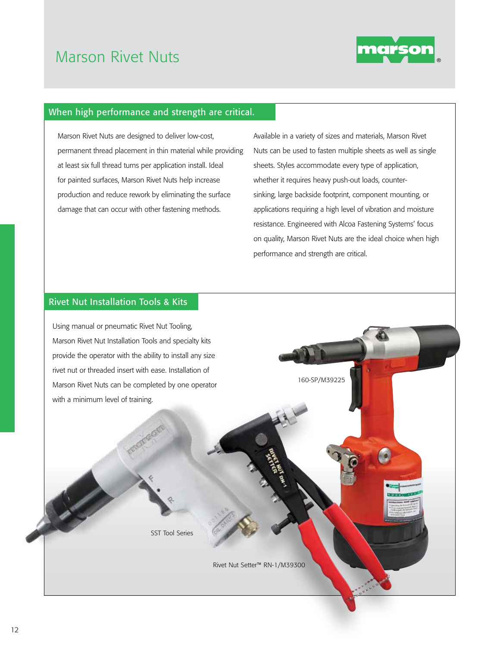## Marson Rivet Nuts



## When high performance and strength are critical.

Marson Rivet Nuts are designed to deliver low-cost, permanent thread placement in thin material while providing at least six full thread turns per application install. Ideal for painted surfaces, Marson Rivet Nuts help increase production and reduce rework by eliminating the surface damage that can occur with other fastening methods.

Available in a variety of sizes and materials, Marson Rivet Nuts can be used to fasten multiple sheets as well as single sheets. Styles accommodate every type of application, whether it requires heavy push-out loads, countersinking, large backside footprint, component mounting, or applications requiring a high level of vibration and moisture resistance. Engineered with Alcoa Fastening Systems' focus on quality, Marson Rivet Nuts are the ideal choice when high performance and strength are critical.

## Rivet Nut Installation Tools & Kits

Using manual or pneumatic Rivet Nut Tooling, Marson Rivet Nut Installation Tools and specialty kits provide the operator with the ability to install any size rivet nut or threaded insert with ease. Installation of Marson Rivet Nuts can be completed by one operator with a minimum level of training.

160-SP/M39225

SST Tool Series

Rivet Nut Setter™ RN-1/M39300